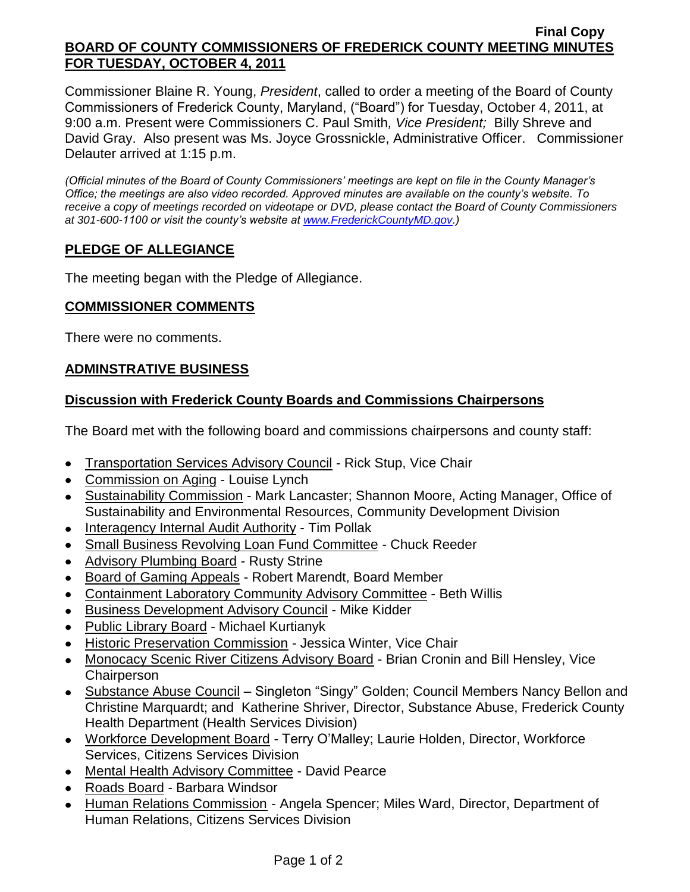#### **Final Copy BOARD OF COUNTY COMMISSIONERS OF FREDERICK COUNTY MEETING MINUTES FOR TUESDAY, OCTOBER 4, 2011**

Commissioner Blaine R. Young, *President*, called to order a meeting of the Board of County Commissioners of Frederick County, Maryland, ("Board") for Tuesday, October 4, 2011, at 9:00 a.m. Present were Commissioners C. Paul Smith*, Vice President;* Billy Shreve and David Gray. Also present was Ms. Joyce Grossnickle, Administrative Officer. Commissioner Delauter arrived at 1:15 p.m.

*(Official minutes of the Board of County Commissioners' meetings are kept on file in the County Manager's Office; the meetings are also video recorded. Approved minutes are available on the county's website. To receive a copy of meetings recorded on videotape or DVD, please contact the Board of County Commissioners at 301-600-1100 or visit the county's website at [www.FrederickCountyMD.gov.](http://www.frederickcountymd.gov/))*

# **PLEDGE OF ALLEGIANCE**

The meeting began with the Pledge of Allegiance.

### **COMMISSIONER COMMENTS**

There were no comments.

### **ADMINSTRATIVE BUSINESS**

### **Discussion with Frederick County Boards and Commissions Chairpersons**

The Board met with the following board and commissions chairpersons and county staff:

- Transportation Services Advisory Council Rick Stup, Vice Chair
- Commission on Aging Louise Lynch
- Sustainability Commission Mark Lancaster; Shannon Moore, Acting Manager, Office of Sustainability and Environmental Resources, Community Development Division
- Interagency Internal Audit Authority Tim Pollak  $\bullet$
- Small Business Revolving Loan Fund Committee Chuck Reeder
- Advisory Plumbing Board Rusty Strine
- Board of Gaming Appeals Robert Marendt, Board Member
- Containment Laboratory Community Advisory Committee Beth Willis
- Business Development Advisory Council Mike Kidder
- Public Library Board Michael Kurtianyk
- Historic Preservation Commission Jessica Winter, Vice Chair
- Monocacy Scenic River Citizens Advisory Board Brian Cronin and Bill Hensley, Vice **Chairperson**
- Substance Abuse Council Singleton "Singy" Golden; Council Members Nancy Bellon and Christine Marquardt; and Katherine Shriver, Director, Substance Abuse, Frederick County Health Department (Health Services Division)
- Workforce Development Board Terry O'Malley; Laurie Holden, Director, Workforce Services, Citizens Services Division
- Mental Health Advisory Committee David Pearce
- Roads Board Barbara Windsor
- Human Relations Commission Angela Spencer; Miles Ward, Director, Department of Human Relations, Citizens Services Division